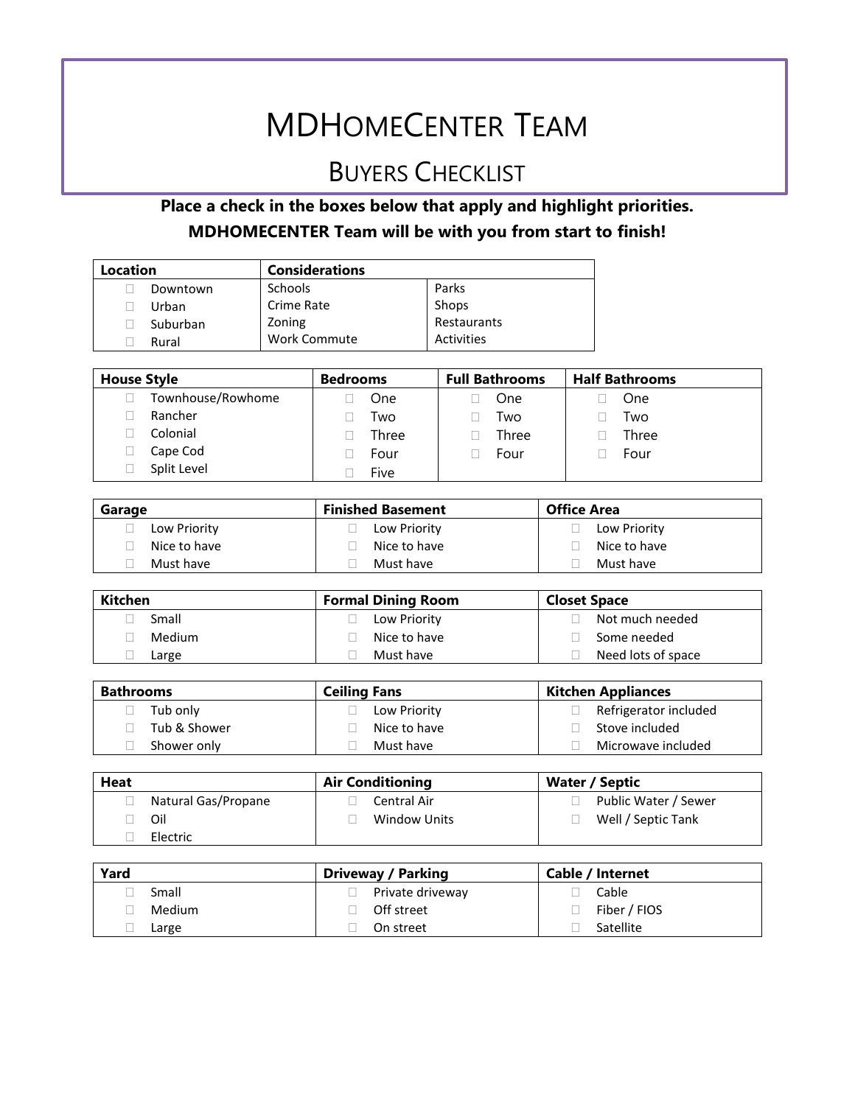## MDHOMECENTER TEAM

## BUYERS CHECKLIST

### **Place a check in the boxes below that apply and highlight priorities. MDHOMECENTER Team will be with you from start to finish!**

| Location | <b>Considerations</b> |             |
|----------|-----------------------|-------------|
| Downtown | <b>Schools</b>        | Parks       |
| Urban    | Crime Rate            | Shops       |
| Suburban | Zoning                | Restaurants |
| Rural    | <b>Work Commute</b>   | Activities  |

| <b>House Style</b> | <b>Bedrooms</b> | <b>Full Bathrooms</b> | <b>Half Bathrooms</b> |
|--------------------|-----------------|-----------------------|-----------------------|
| Townhouse/Rowhome  | One             | One                   | One                   |
| Rancher            | Two             | Two                   | Two                   |
| Colonial           | Three           | Three                 | Three                 |
| Cape Cod           | Four            | Four                  | Four                  |
| Split Level        | Five            |                       |                       |

| Garage       | <b>Finished Basement</b> | <b>Office Area</b> |
|--------------|--------------------------|--------------------|
| Low Priority | Low Priority             | Low Priority       |
| Nice to have | Nice to have             | Nice to have       |
| Must have    | Must have                | Must have          |

| Kitchen | <b>Formal Dining Room</b> | <b>Closet Space</b> |
|---------|---------------------------|---------------------|
| Small   | Low Priority              | Not much needed     |
| Medium  | Nice to have              | Some needed         |
| Large   | Must have                 | Need lots of space  |

| <b>Bathrooms</b> | <b>Ceiling Fans</b> | <b>Kitchen Appliances</b> |
|------------------|---------------------|---------------------------|
| Tub only         | Low Priority        | Refrigerator included     |
| Tub & Shower     | Nice to have        | Stove included            |
| Shower only      | Must have           | Microwave included        |

| Heat |                     | <b>Air Conditioning</b> | Water / Septic       |
|------|---------------------|-------------------------|----------------------|
|      | Natural Gas/Propane | Central Air             | Public Water / Sewer |
|      | Oil                 | Window Units            | Well / Septic Tank   |
|      | Electric            |                         |                      |

| Yard   | <b>Driveway / Parking</b> | Cable / Internet |
|--------|---------------------------|------------------|
| Small  | Private driveway          | Cable            |
| Medium | Off street                | Fiber / FIOS     |
| Large  | On street                 | Satellite        |